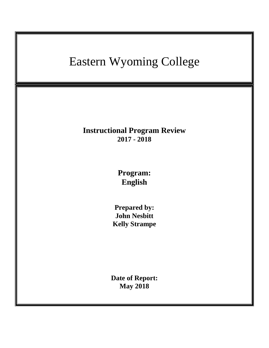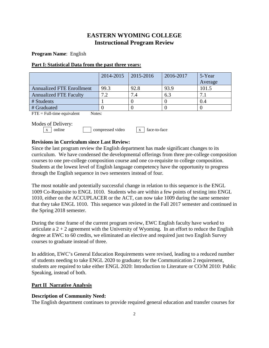# **EASTERN WYOMING COLLEGE Instructional Program Review**

**Program Name**: English

### **Part I: Statistical Data from the past three years:**

|                                  | 2014-2015 | $ 2015 - 2016 $ | 2016-2017 | 5-Year  |
|----------------------------------|-----------|-----------------|-----------|---------|
|                                  |           |                 |           | Average |
| <b>Annualized FTE Enrollment</b> | 99.3      | 92.8            | 93.9      | 101.5   |
| <b>Annualized FTE Faculty</b>    | 7.2       | 7.4             | 6.3       |         |
| # Students                       |           |                 |           | 0.4     |
| # Graduated                      |           |                 |           |         |

 $\text{FTE} = \text{Full-time equivalent}$  Notes:

Modes of Delivery:

|  | .                      |                  |                  |
|--|------------------------|------------------|------------------|
|  | $\vert x \vert$ online | compressed video | $x$ face-to-face |

# **Revisions in Curriculum since Last Review:**

Since the last program review the English department has made significant changes to its curriculum. We have condensed the developmental offerings from three pre-college composition courses to one pre-college composition course and one co-requisite to college composition. Students at the lowest level of English language competency have the opportunity to progress through the English sequence in two semesters instead of four.

The most notable and potentially successful change in relation to this sequence is the ENGL 1009 Co-Requisite to ENGL 1010. Students who are within a few points of testing into ENGL 1010, either on the ACCUPLACER or the ACT, can now take 1009 during the same semester that they take ENGL 1010. This sequence was piloted in the Fall 2017 semester and continued in the Spring 2018 semester.

During the time frame of the current program review, EWC English faculty have worked to articulate a  $2 + 2$  agreement with the University of Wyoming. In an effort to reduce the English degree at EWC to 60 credits, we eliminated an elective and required just two English Survey courses to graduate instead of three.

In addition, EWC's General Education Requirements were revised, leading to a reduced number of students needing to take ENGL 2020 to graduate; for the Communication 2 requirement, students are required to take either ENGL 2020: Introduction to Literature or CO/M 2010: Public Speaking, instead of both.

## **Part II Narrative Analysis**

## **Description of Community Need:**

The English department continues to provide required general education and transfer courses for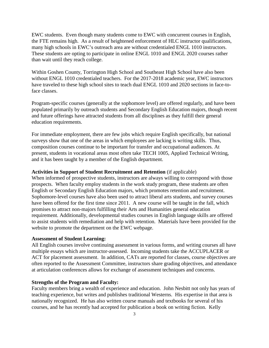EWC students. Even though many students come to EWC with concurrent courses in English, the FTE remains high. As a result of heightened enforcement of HLC instructor qualifications, many high schools in EWC's outreach area are without credentialed ENGL 1010 instructors. These students are opting to participate in online ENGL 1010 and ENGL 2020 courses rather than wait until they reach college.

Within Goshen County, Torrington High School and Southeast High School have also been without ENGL 1010 credentialed teachers. For the 2017-2018 academic year, EWC instructors have traveled to these high school sites to teach dual ENGL 1010 and 2020 sections in face-toface classes.

Program-specific courses (generally at the sophomore level) are offered regularly, and have been populated primarily by outreach students and Secondary English Education majors, though recent and future offerings have attracted students from all disciplines as they fulfill their general education requirements.

For immediate employment, there are few jobs which require English specifically, but national surveys show that one of the areas in which employees are lacking is writing skills. Thus, composition courses continue to be important for transfer and occupational audiences. At present, students in vocational areas most often take TECH 1005, Applied Technical Writing, and it has been taught by a member of the English department.

#### **Activities in Support of Student Recruitment and Retention** (if applicable)

When informed of prospective students, instructors are always willing to correspond with those prospects. When faculty employ students in the work study program, these students are often English or Secondary English Education majors, which promotes retention and recruitment. Sophomore-level courses have also been used to attract liberal arts students, and survey courses have been offered for the first time since 2011. A new course will be taught in the fall, which promises to attract non-majors fulfilling their Arts and Humanities general education requirement. Additionally, developmental studies courses in English language skills are offered to assist students with remediation and help with retention. Materials have been provided for the website to promote the department on the EWC webpage.

#### **Assessment of Student Learning:**

All English courses involve continuing assessment in various forms, and writing courses all have multiple essays which are instructor-assessed. Incoming students take the ACCUPLACER or ACT for placement assessment. In addition, CATs are reported for classes, course objectives are often reported to the Assessment Committee, instructors share grading objectives, and attendance at articulation conferences allows for exchange of assessment techniques and concerns.

#### **Strengths of the Program and Faculty:**

Faculty members bring a wealth of experience and education. John Nesbitt not only has years of teaching experience, but writes and publishes traditional Westerns. His expertise in that area is nationally recognized. He has also written course manuals and textbooks for several of his courses, and he has recently had accepted for publication a book on writing fiction. Kelly